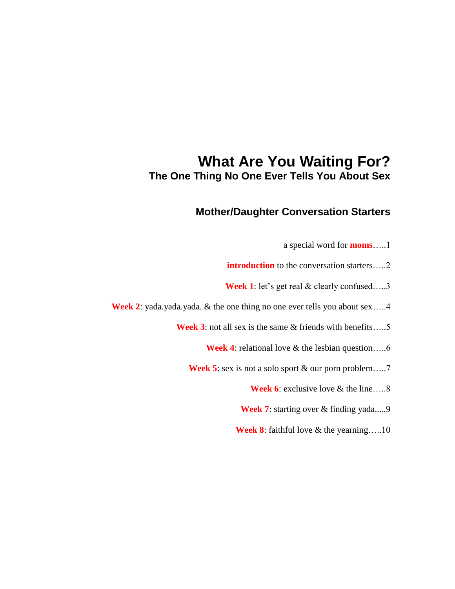# **What Are You Waiting For? The One Thing No One Ever Tells You About Sex**

# **Mother/Daughter Conversation Starters**

- a special word for **moms**…..1
- **introduction** to the conversation starters.....2
- **Week 1**: let's get real & clearly confused....3
- **Week 2**: yada.yada.yada. & the one thing no one ever tells you about sex.....4
	- **Week 3**: not all sex is the same & friends with benefits…..5
		- **Week 4**: relational love & the lesbian question.....6
		- **Week 5**: sex is not a solo sport & our porn problem.....7
			- **Week 6**: exclusive love & the line.....8
			- **Week 7:** starting over & finding yada.....9
			- **Week 8**: faithful love & the yearning…..10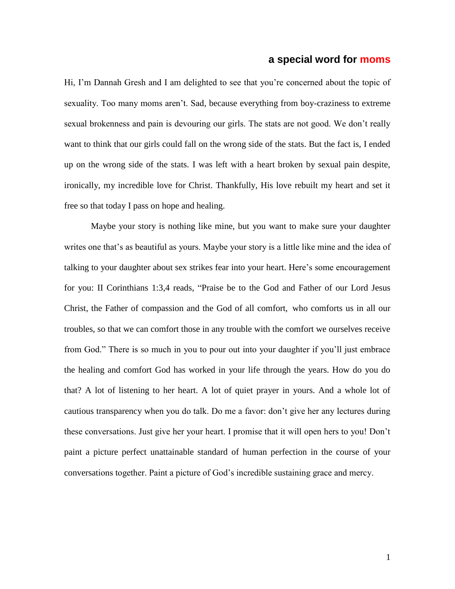#### **a special word for moms**

Hi, I'm Dannah Gresh and I am delighted to see that you're concerned about the topic of sexuality. Too many moms aren"t. Sad, because everything from boy-craziness to extreme sexual brokenness and pain is devouring our girls. The stats are not good. We don"t really want to think that our girls could fall on the wrong side of the stats. But the fact is, I ended up on the wrong side of the stats. I was left with a heart broken by sexual pain despite, ironically, my incredible love for Christ. Thankfully, His love rebuilt my heart and set it free so that today I pass on hope and healing.

Maybe your story is nothing like mine, but you want to make sure your daughter writes one that's as beautiful as yours. Maybe your story is a little like mine and the idea of talking to your daughter about sex strikes fear into your heart. Here"s some encouragement for you: II Corinthians 1:3,4 reads, "Praise be to the God and Father of our Lord Jesus Christ, the Father of compassion and the God of all comfort, who comforts us in all our troubles, so that we can comfort those in any trouble with the comfort we ourselves receive from God." There is so much in you to pour out into your daughter if you"ll just embrace the healing and comfort God has worked in your life through the years. How do you do that? A lot of listening to her heart. A lot of quiet prayer in yours. And a whole lot of cautious transparency when you do talk. Do me a favor: don"t give her any lectures during these conversations. Just give her your heart. I promise that it will open hers to you! Don"t paint a picture perfect unattainable standard of human perfection in the course of your conversations together. Paint a picture of God"s incredible sustaining grace and mercy.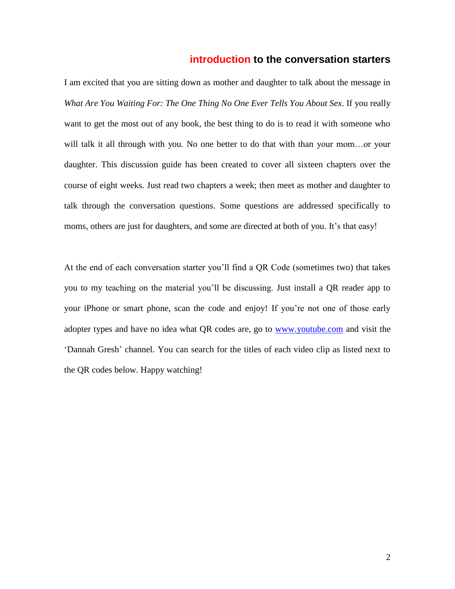#### **introduction to the conversation starters**

I am excited that you are sitting down as mother and daughter to talk about the message in *What Are You Waiting For: The One Thing No One Ever Tells You About Sex*. If you really want to get the most out of any book, the best thing to do is to read it with someone who will talk it all through with you. No one better to do that with than your mom...or your daughter. This discussion guide has been created to cover all sixteen chapters over the course of eight weeks. Just read two chapters a week; then meet as mother and daughter to talk through the conversation questions. Some questions are addressed specifically to moms, others are just for daughters, and some are directed at both of you. It's that easy!

At the end of each conversation starter you"ll find a QR Code (sometimes two) that takes you to my teaching on the material you"ll be discussing. Just install a QR reader app to your iPhone or smart phone, scan the code and enjoy! If you"re not one of those early adopter types and have no idea what QR codes are, go to [www.youtube.com](http://www.youtube.com/) and visit the "Dannah Gresh" channel. You can search for the titles of each video clip as listed next to the QR codes below. Happy watching!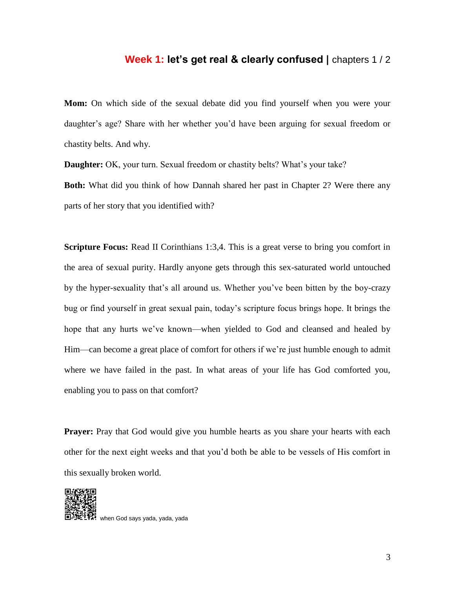### **Week 1: let's get real & clearly confused | chapters 1/2**

**Mom:** On which side of the sexual debate did you find yourself when you were your daughter's age? Share with her whether you'd have been arguing for sexual freedom or chastity belts. And why.

**Daughter:** OK, your turn. Sexual freedom or chastity belts? What's your take?

**Both:** What did you think of how Dannah shared her past in Chapter 2? Were there any parts of her story that you identified with?

**Scripture Focus:** Read II Corinthians 1:3,4. This is a great verse to bring you comfort in the area of sexual purity. Hardly anyone gets through this sex-saturated world untouched by the hyper-sexuality that"s all around us. Whether you"ve been bitten by the boy-crazy bug or find yourself in great sexual pain, today"s scripture focus brings hope. It brings the hope that any hurts we've known—when yielded to God and cleansed and healed by Him—can become a great place of comfort for others if we're just humble enough to admit where we have failed in the past. In what areas of your life has God comforted you, enabling you to pass on that comfort?

**Prayer:** Pray that God would give you humble hearts as you share your hearts with each other for the next eight weeks and that you"d both be able to be vessels of His comfort in this sexually broken world.



when God says yada, yada, yada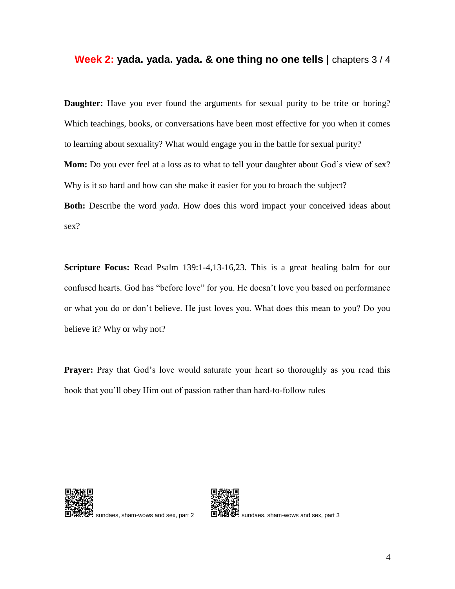#### **Week 2: yada. yada. yada. & one thing no one tells |** chapters 3 / 4

**Daughter:** Have you ever found the arguments for sexual purity to be trite or boring? Which teachings, books, or conversations have been most effective for you when it comes to learning about sexuality? What would engage you in the battle for sexual purity? **Mom:** Do you ever feel at a loss as to what to tell your daughter about God's view of sex? Why is it so hard and how can she make it easier for you to broach the subject? **Both:** Describe the word *yada*. How does this word impact your conceived ideas about sex?

**Scripture Focus:** Read Psalm 139:1-4,13-16,23. This is a great healing balm for our confused hearts. God has "before love" for you. He doesn"t love you based on performance or what you do or don"t believe. He just loves you. What does this mean to you? Do you believe it? Why or why not?

**Prayer:** Pray that God's love would saturate your heart so thoroughly as you read this book that you"ll obey Him out of passion rather than hard-to-follow rules





sundaes, sham-wows and sex, part 2  $\Box$   $\Box$   $\Box$   $\Box$  sundaes, sham-wows and sex, part 3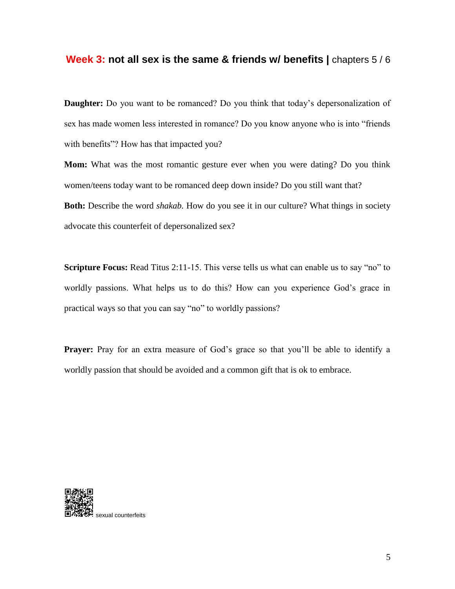#### **Week 3: not all sex is the same & friends w/ benefits | chapters 5/6**

**Daughter:** Do you want to be romanced? Do you think that today's depersonalization of sex has made women less interested in romance? Do you know anyone who is into "friends with benefits"? How has that impacted you?

**Mom:** What was the most romantic gesture ever when you were dating? Do you think women/teens today want to be romanced deep down inside? Do you still want that? **Both:** Describe the word *shakab.* How do you see it in our culture? What things in society advocate this counterfeit of depersonalized sex?

**Scripture Focus:** Read Titus 2:11-15. This verse tells us what can enable us to say "no" to worldly passions. What helps us to do this? How can you experience God's grace in practical ways so that you can say "no" to worldly passions?

**Prayer:** Pray for an extra measure of God's grace so that you'll be able to identify a worldly passion that should be avoided and a common gift that is ok to embrace.

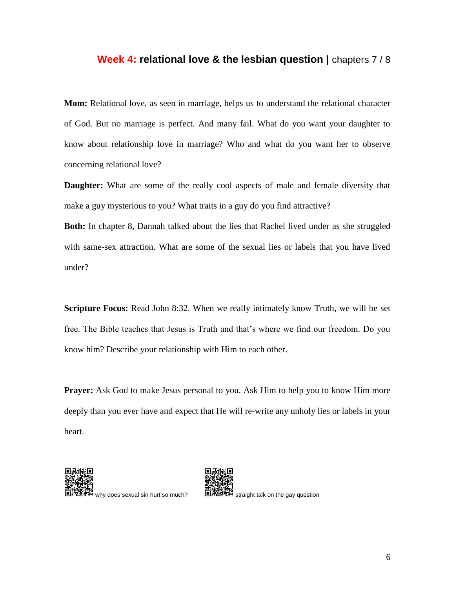#### **Week 4: relational love & the lesbian question | chapters 7/8**

**Mom:** Relational love, as seen in marriage, helps us to understand the relational character of God. But no marriage is perfect. And many fail. What do you want your daughter to know about relationship love in marriage? Who and what do you want her to observe concerning relational love?

**Daughter:** What are some of the really cool aspects of male and female diversity that make a guy mysterious to you? What traits in a guy do you find attractive?

**Both:** In chapter 8, Dannah talked about the lies that Rachel lived under as she struggled with same-sex attraction. What are some of the sexual lies or labels that you have lived under?

**Scripture Focus:** Read John 8:32. When we really intimately know Truth, we will be set free. The Bible teaches that Jesus is Truth and that"s where we find our freedom. Do you know him? Describe your relationship with Him to each other.

**Prayer:** Ask God to make Jesus personal to you. Ask Him to help you to know Him more deeply than you ever have and expect that He will re-write any unholy lies or labels in your heart.



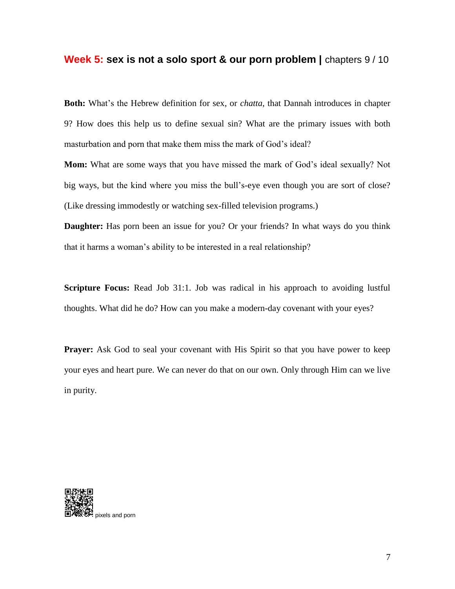#### **Week 5: sex is not a solo sport & our porn problem | chapters 9/10**

**Both:** What's the Hebrew definition for sex, or *chatta*, that Dannah introduces in chapter 9? How does this help us to define sexual sin? What are the primary issues with both masturbation and porn that make them miss the mark of God's ideal?

**Mom:** What are some ways that you have missed the mark of God's ideal sexually? Not big ways, but the kind where you miss the bull"s-eye even though you are sort of close? (Like dressing immodestly or watching sex-filled television programs.)

**Daughter:** Has porn been an issue for you? Or your friends? In what ways do you think that it harms a woman"s ability to be interested in a real relationship?

**Scripture Focus:** Read Job 31:1. Job was radical in his approach to avoiding lustful thoughts. What did he do? How can you make a modern-day covenant with your eyes?

**Prayer:** Ask God to seal your covenant with His Spirit so that you have power to keep your eyes and heart pure. We can never do that on our own. Only through Him can we live in purity.

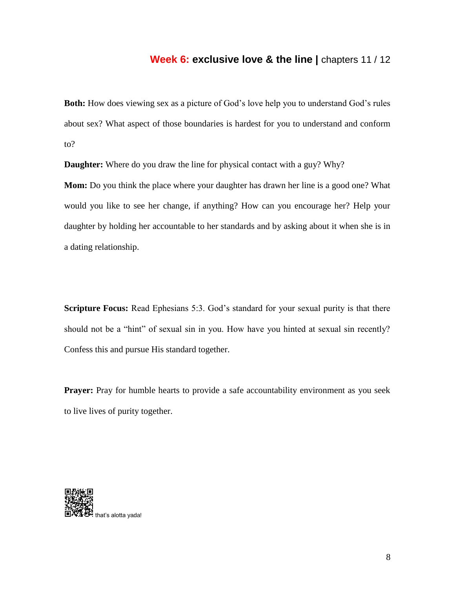# **Week 6: exclusive love & the line | chapters 11 / 12**

**Both:** How does viewing sex as a picture of God's love help you to understand God's rules about sex? What aspect of those boundaries is hardest for you to understand and conform to?

**Daughter:** Where do you draw the line for physical contact with a guy? Why?

**Mom:** Do you think the place where your daughter has drawn her line is a good one? What would you like to see her change, if anything? How can you encourage her? Help your daughter by holding her accountable to her standards and by asking about it when she is in a dating relationship.

**Scripture Focus:** Read Ephesians 5:3. God's standard for your sexual purity is that there should not be a "hint" of sexual sin in you. How have you hinted at sexual sin recently? Confess this and pursue His standard together.

**Prayer:** Pray for humble hearts to provide a safe accountability environment as you seek to live lives of purity together.

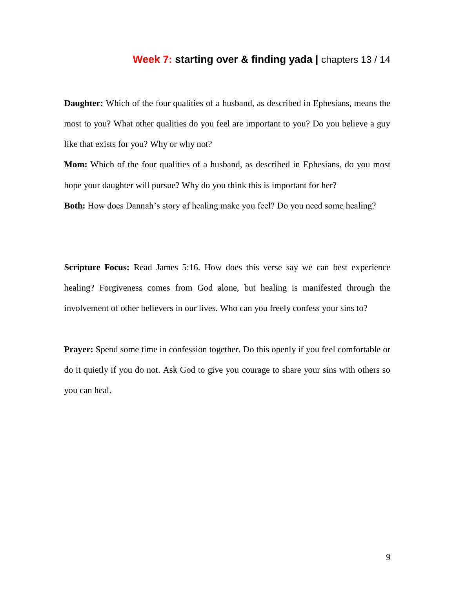# **Week 7: starting over & finding yada |** chapters 13 / 14

**Daughter:** Which of the four qualities of a husband, as described in Ephesians, means the most to you? What other qualities do you feel are important to you? Do you believe a guy like that exists for you? Why or why not?

**Mom:** Which of the four qualities of a husband, as described in Ephesians, do you most hope your daughter will pursue? Why do you think this is important for her?

**Both:** How does Dannah's story of healing make you feel? Do you need some healing?

**Scripture Focus:** Read James 5:16. How does this verse say we can best experience healing? Forgiveness comes from God alone, but healing is manifested through the involvement of other believers in our lives. Who can you freely confess your sins to?

**Prayer:** Spend some time in confession together. Do this openly if you feel comfortable or do it quietly if you do not. Ask God to give you courage to share your sins with others so you can heal.